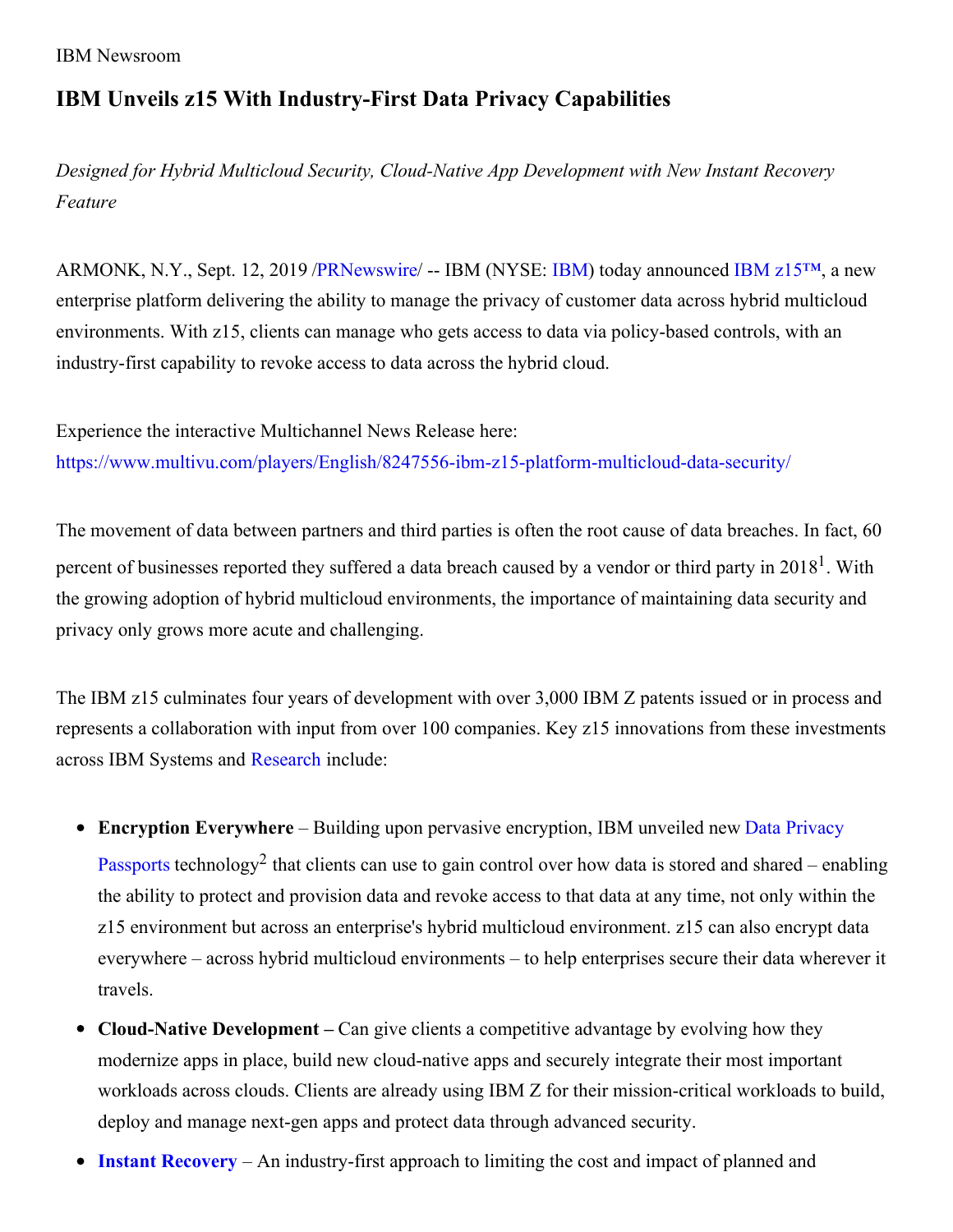IBM Newsroom

# **IBM Unveils z15 With Industry-First Data Privacy Capabilities**

*Designed for Hybrid Multicloud Security, Cloud-Native App Development with New Instant Recovery Feature*

ARMONK, N.Y., Sept. 12, 2019 [/PRNewswire](http://www.prnewswire.com/)/ -- [IBM](https://c212.net/c/link/?t=0&l=en&o=2576230-1&h=1309592677&u=http%3A%2F%2Fwww.ibm.com%2Finvestor&a=IBM) (NYSE: IBM) today announced IBM [z15™](https://c212.net/c/link/?t=0&l=en&o=2576230-1&h=1483297502&u=https%3A%2F%2Fwww.ibm.com%2Fmarketplace%2Fz15&a=IBM+z15%E2%84%A2), a new enterprise platform delivering the ability to manage the privacy of customer data across hybrid multicloud environments. With z15, clients can manage who gets access to data via policy-based controls, with an industry-first capability to revoke access to data across the hybrid cloud.

Experience the interactive Multichannel News Release here: [https://www.multivu.com/players/English/8247556-ibm-z15-platform-multicloud-data-security/](https://c212.net/c/link/?t=0&l=en&o=2576230-1&h=2326768290&u=https%3A%2F%2Fwww.multivu.com%2Fplayers%2FEnglish%2F8247556-ibm-z15-platform-multicloud-data-security%2F&a=https%3A%2F%2Fwww.multivu.com%2Fplayers%2FEnglish%2F8247556-ibm-z15-platform-multicloud-data-security%2F)

The movement of data between partners and third parties is often the root cause of data breaches. In fact, 60 percent of businesses reported they suffered a data breach caused by a vendor or third party in 2018<sup>1</sup>. With the growing adoption of hybrid multicloud environments, the importance of maintaining data security and privacy only grows more acute and challenging.

The IBM z15 culminates four years of development with over 3,000 IBM Z patents issued or in process and represents a collaboration with input from over 100 companies. Key z15 innovations from these investments across IBM Systems and [Research](https://c212.net/c/link/?t=0&l=en&o=2576230-1&h=3624457080&u=https%3A%2F%2Fwww.ibm.com%2Fblogs%2Fresearch%2F2019%2F09%2Fibm-research-z15%2F&a=Research) include:

- **Encryption [Everywhere](https://c212.net/c/link/?t=0&l=en&o=2576230-1&h=4011223490&u=https%3A%2F%2Fwww.ibm.com%2Fmarketplace%2Fdata-privacy-passports&a=Data+Privacy+Passports)** Building upon pervasive encryption, IBM unveiled new Data Privacy Passports technology<sup>2</sup> that clients can use to gain control over how data is stored and shared – enabling the ability to protect and provision data and revoke access to that data at any time, not only within the z15 environment but across an enterprise's hybrid multicloud environment. z15 can also encrypt data everywhere – across hybrid multicloud environments – to help enterprises secure their data wherever it travels.
- **Cloud-Native Development –** Can give clients a competitive advantage by evolving how they modernize apps in place, build new cloud-native apps and securely integrate their most important workloads across clouds. Clients are already using IBM Z for their mission-critical workloads to build, deploy and manage next-gen apps and protect data through advanced security.
- **Instant [Recovery](https://c212.net/c/link/?t=0&l=en&o=2576230-1&h=3833485790&u=https%3A%2F%2Fwww.ibm.com%2Fit-infrastructure%2Fz%2Ftechnologies%2Fsystem-recovery&a=Instant+Recovery)** An industry-first approach to limiting the cost and impact of planned and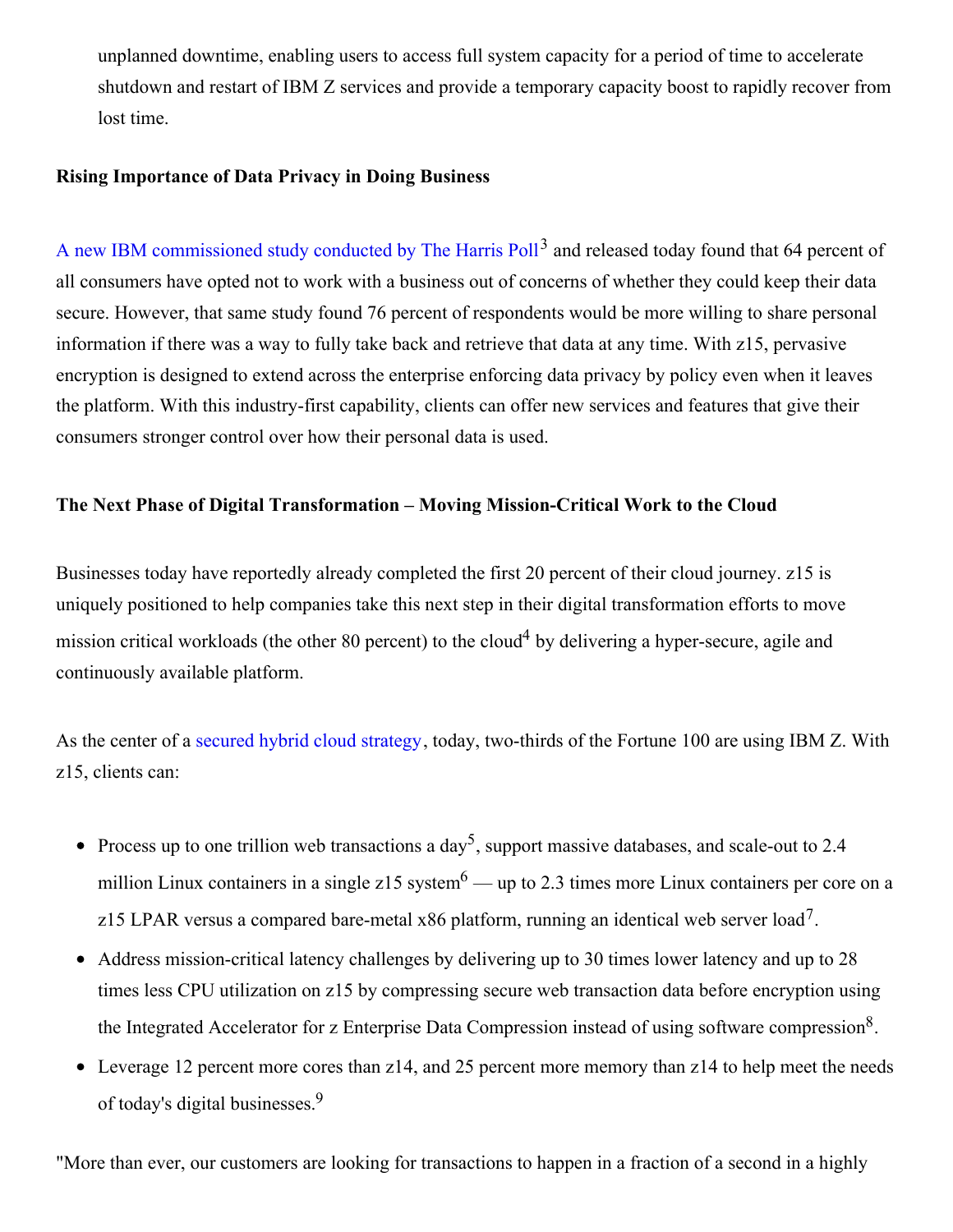unplanned downtime, enabling users to access full system capacity for a period of time to accelerate shutdown and restart of IBM Z services and provide a temporary capacity boost to rapidly recover from lost time.

#### **Rising Importance of Data Privacy in Doing Business**

A new IBM [commissioned](https://c212.net/c/link/?t=0&l=en&o=2576230-1&h=86771019&u=https%3A%2F%2Fsecurityintelligence.com%2Fposts%2Fnew-poll-shows-consumers-expectations-on-data-privacy-evolve-but-so-does-technology%2F&a=A+new+IBM+commissioned+study+conducted+by+The+Harris+Poll) study conducted by The Harris Poll<sup>3</sup> and released today found that 64 percent of all consumers have opted not to work with a business out of concerns of whether they could keep their data secure. However, that same study found 76 percent of respondents would be more willing to share personal information if there was a way to fully take back and retrieve that data at any time. With z15, pervasive encryption is designed to extend across the enterprise enforcing data privacy by policy even when it leaves the platform. With this industry-first capability, clients can offer new services and features that give their consumers stronger control over how their personal data is used.

## **The Next Phase of Digital Transformation – Moving Mission-Critical Work to the Cloud**

Businesses today have reportedly already completed the first 20 percent of their cloud journey. z15 is uniquely positioned to help companies take this next step in their digital transformation efforts to move mission critical workloads (the other 80 percent) to the cloud<sup>4</sup> by delivering a hyper-secure, agile and continuously available platform.

As the center of a secured hybrid cloud [strategy](https://c212.net/c/link/?t=0&l=en&o=2576230-1&h=2985641967&u=https%3A%2F%2Fwww.ibm.com%2Fit-infrastructure%2Fz%2Fcapabilities%2Fhybrid-cloud&a=secured+hybrid+cloud+strategy), today, two-thirds of the Fortune 100 are using IBM Z. With z15, clients can:

- Process up to one trillion web transactions a day<sup>5</sup>, support massive databases, and scale-out to 2.4 million Linux containers in a single z15 system<sup>6</sup> — up to 2.3 times more Linux containers per core on a z15 LPAR versus a compared bare-metal x86 platform, running an identical web server load<sup>7</sup>.
- Address mission-critical latency challenges by delivering up to 30 times lower latency and up to 28 times less CPU utilization on z15 by compressing secure web transaction data before encryption using the Integrated Accelerator for z Enterprise Data Compression instead of using software compression<sup>8</sup>.
- Leverage 12 percent more cores than z14, and 25 percent more memory than z14 to help meet the needs of today's digital businesses. 9

"More than ever, our customers are looking for transactions to happen in a fraction of a second in a highly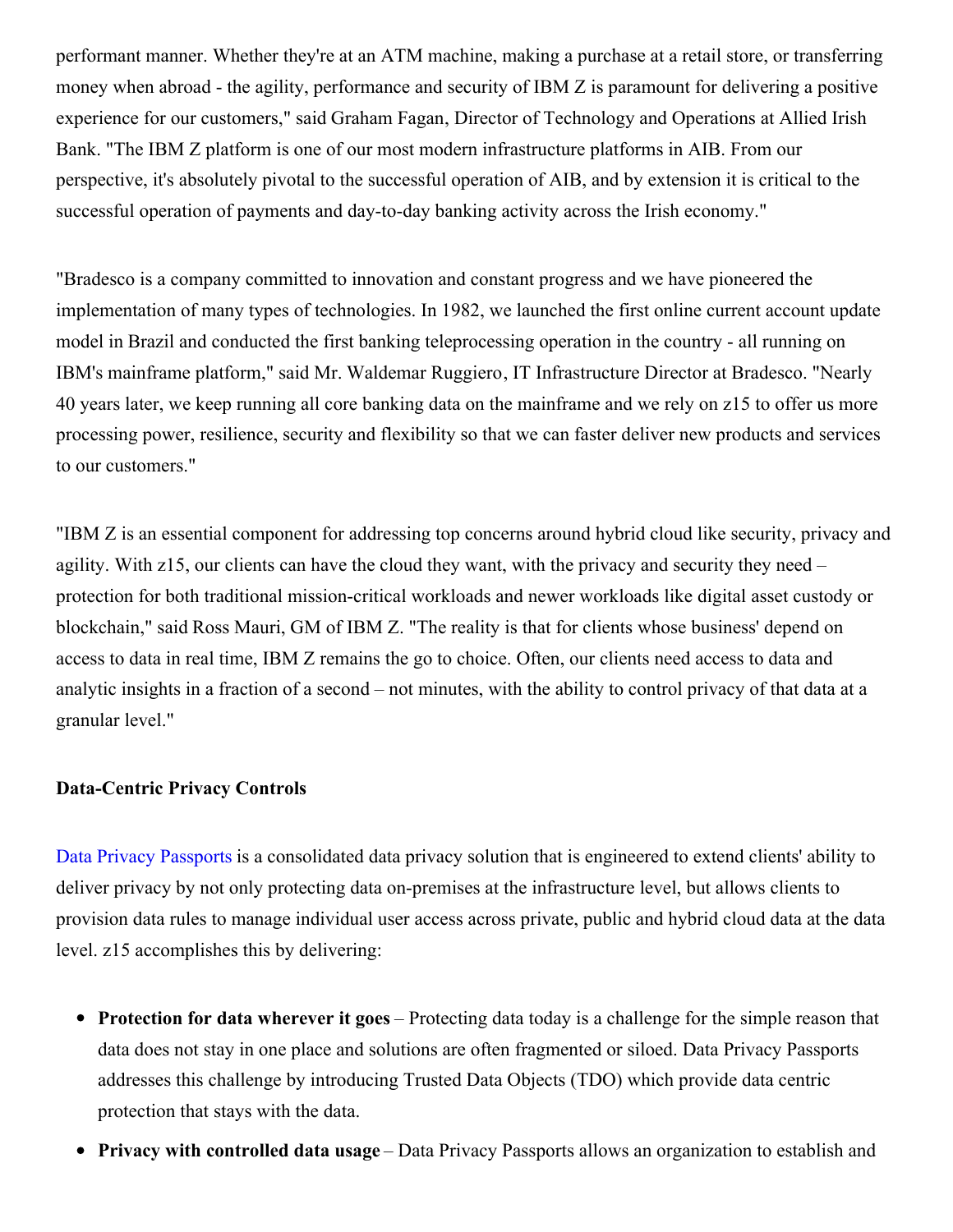performant manner. Whether they're at an ATM machine, making a purchase at a retail store, or transferring money when abroad - the agility, performance and security of IBM Z is paramount for delivering a positive experience for our customers," said Graham Fagan, Director of Technology and Operations at Allied Irish Bank. "The IBM Z platform is one of our most modern infrastructure platforms in AIB. From our perspective, it's absolutely pivotal to the successful operation of AIB, and by extension it is critical to the successful operation of payments and day-to-day banking activity across the Irish economy."

"Bradesco is a company committed to innovation and constant progress and we have pioneered the implementation of many types of technologies. In 1982, we launched the first online current account update model in Brazil and conducted the first banking teleprocessing operation in the country - all running on IBM's mainframe platform," said Mr. Waldemar Ruggiero, IT Infrastructure Director at Bradesco. "Nearly 40 years later, we keep running all core banking data on the mainframe and we rely on z15 to offer us more processing power, resilience, security and flexibility so that we can faster deliver new products and services to our customers."

"IBM Z is an essential component for addressing top concerns around hybrid cloud like security, privacy and agility. With z15, our clients can have the cloud they want, with the privacy and security they need – protection for both traditional mission-critical workloads and newer workloads like digital asset custody or blockchain," said Ross Mauri, GM of IBM Z. "The reality is that for clients whose business' depend on access to data in real time, IBM Z remains the go to choice. Often, our clients need access to data and analytic insights in a fraction of a second – not minutes, with the ability to control privacy of that data at a granular level."

#### **Data-Centric Privacy Controls**

Data Privacy [Passports](https://c212.net/c/link/?t=0&l=en&o=2576230-1&h=4011223490&u=https%3A%2F%2Fwww.ibm.com%2Fmarketplace%2Fdata-privacy-passports&a=Data+Privacy+Passports) is a consolidated data privacy solution that is engineered to extend clients' ability to deliver privacy by not only protecting data on-premises at the infrastructure level, but allows clients to provision data rules to manage individual user access across private, public and hybrid cloud data at the data level. z15 accomplishes this by delivering:

- **Protection for data wherever it goes** Protecting data today is a challenge for the simple reason that data does not stay in one place and solutions are often fragmented or siloed. Data Privacy Passports addresses this challenge by introducing Trusted Data Objects (TDO) which provide data centric protection that stays with the data.
- **Privacy with controlled data usage** Data Privacy Passports allows an organization to establish and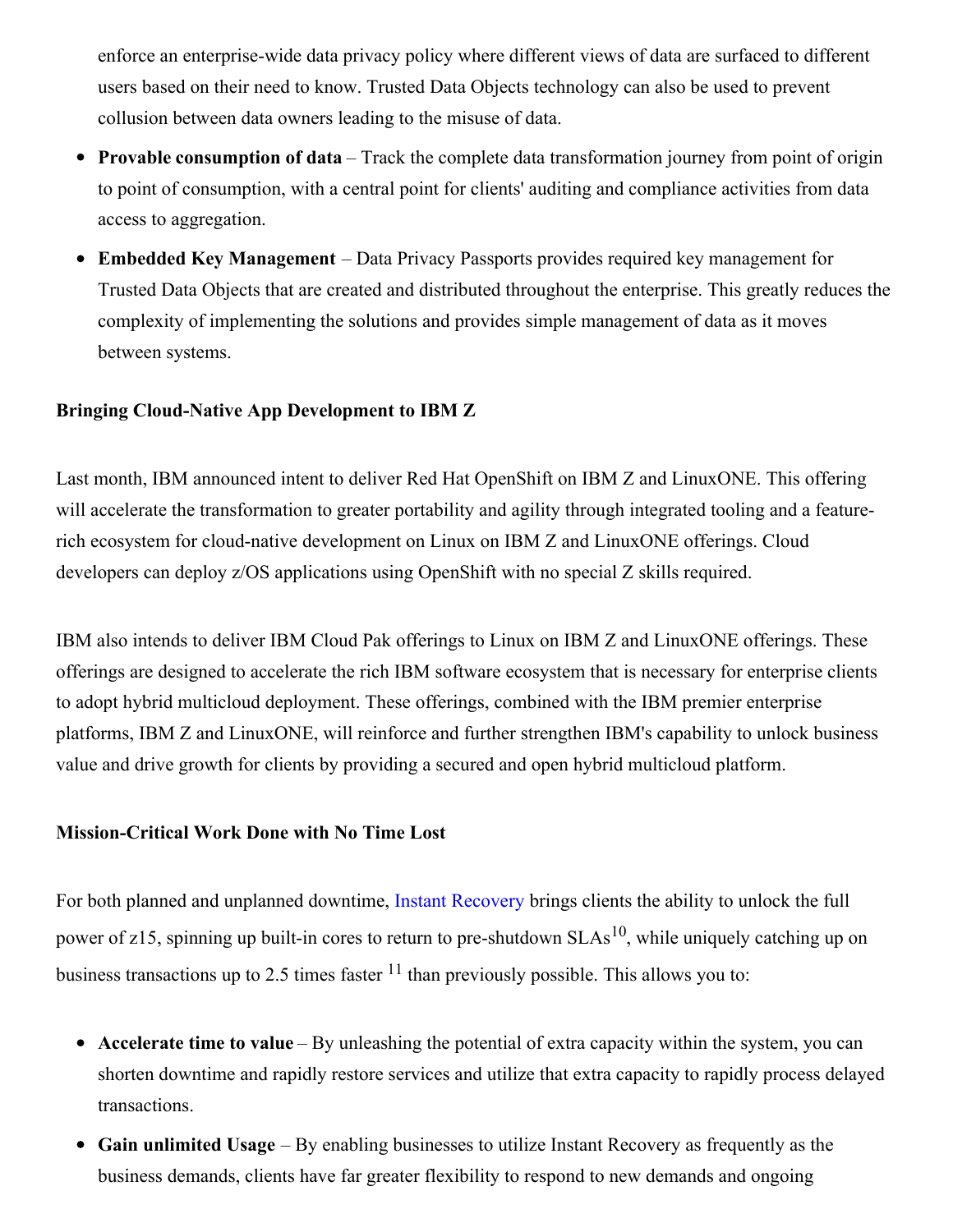enforce an enterprise-wide data privacy policy where different views of data are surfaced to different users based on their need to know. Trusted Data Objects technology can also be used to prevent collusion between data owners leading to the misuse of data.

- **Provable consumption of data** Track the complete data transformation journey from point of origin to point of consumption, with a central point for clients' auditing and compliance activities from data access to aggregation.
- **Embedded Key Management** Data Privacy Passports provides required key management for Trusted Data Objects that are created and distributed throughout the enterprise. This greatly reduces the complexity of implementing the solutions and provides simple management of data as it moves between systems.

### **Bringing Cloud-Native App Development to IBM Z**

Last month, IBM announced intent to deliver Red Hat OpenShift on IBM Z and LinuxONE. This offering will accelerate the transformation to greater portability and agility through integrated tooling and a featurerich ecosystem for cloud-native development on Linux on IBM Z and LinuxONE offerings. Cloud developers can deploy z/OS applications using OpenShift with no special Z skills required.

IBM also intends to deliver IBM Cloud Pak offerings to Linux on IBM Z and LinuxONE offerings. These offerings are designed to accelerate the rich IBM software ecosystem that is necessary for enterprise clients to adopt hybrid multicloud deployment. These offerings, combined with the IBM premier enterprise platforms, IBM Z and LinuxONE, will reinforce and further strengthen IBM's capability to unlock business value and drive growth for clients by providing a secured and open hybrid multicloud platform.

#### **Mission-Critical Work Done with No Time Lost**

For both planned and unplanned downtime, Instant [Recovery](https://c212.net/c/link/?t=0&l=en&o=2576230-1&h=3833485790&u=https%3A%2F%2Fwww.ibm.com%2Fit-infrastructure%2Fz%2Ftechnologies%2Fsystem-recovery&a=Instant+Recovery) brings clients the ability to unlock the full power of z15, spinning up built-in cores to return to pre-shutdown  $SLAs^{10}$ , while uniquely catching up on business transactions up to 2.5 times faster  $11$  than previously possible. This allows you to:

- **Accelerate time to value** By unleashing the potential of extra capacity within the system, you can shorten downtime and rapidly restore services and utilize that extra capacity to rapidly process delayed transactions.
- **Gain unlimited Usage** By enabling businesses to utilize Instant Recovery as frequently as the business demands, clients have far greater flexibility to respond to new demands and ongoing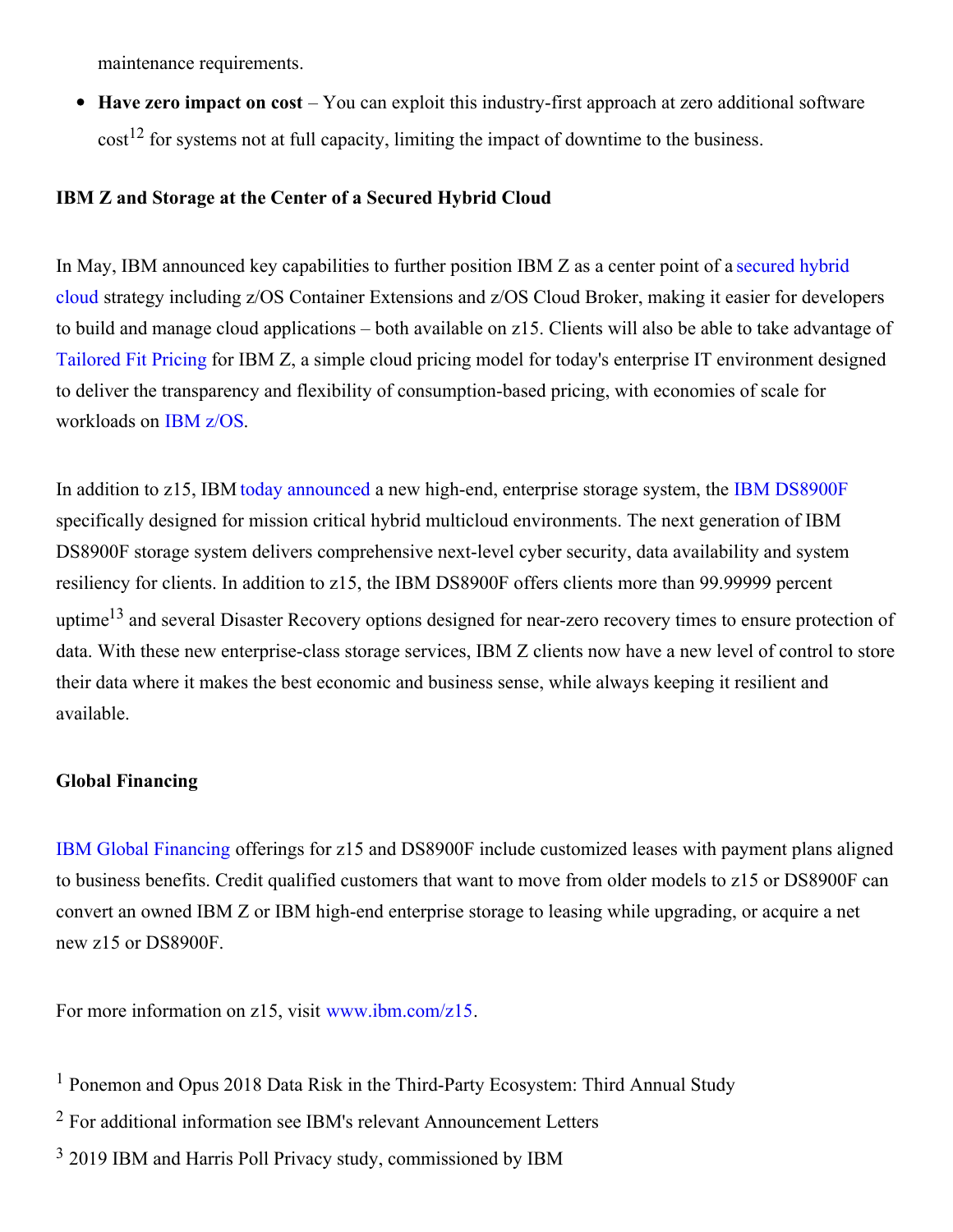maintenance requirements.

 $\bullet$ **Have zero impact on cost** – You can exploit this industry-first approach at zero additional software  $\text{cost}^{12}$  for systems not at full capacity, limiting the impact of downtime to the business.

## **IBM Z and Storage at the Center of a Secured Hybrid Cloud**

In May, IBM announced key [capabilities](https://c212.net/c/link/?t=0&l=en&o=2576230-1&h=3792917112&u=https%3A%2F%2Fwww.ibm.com%2Fit-infrastructure%2Fz%2Fcapabilities%2Fhybrid-cloud&a=secured+hybrid+cloud) to further position IBM Z as a center point of a secured hybrid cloud strategy including z/OS Container Extensions and z/OS Cloud Broker, making it easier for developers to build and manage cloud applications – both available on z15. Clients will also be able to take advantage of [Tailored](https://c212.net/c/link/?t=0&l=en&o=2576230-1&h=1663602834&u=https%3A%2F%2Fwww.ibm.com%2Fit-infrastructure%2Fz%2Fsoftware%2Fpricing&a=Tailored+Fit+Pricing) Fit Pricing for IBM Z, a simple cloud pricing model for today's enterprise IT environment designed to deliver the transparency and flexibility of consumption-based pricing, with economies of scale for workloads on [IBM](https://c212.net/c/link/?t=0&l=en&o=2576230-1&h=1541812601&u=https%3A%2F%2Fwww.ibm.com%2Fit-infrastructure%2Fz%2Fzos&a=IBM+z%2FOS) z/OS.

In addition to z15, IBM today [announced](https://c212.net/c/link/?t=0&l=en&o=2576230-1&h=1681710066&u=http%3A%2F%2Fwww.ibm.com%2Fblogs%2Fsystems%2Fpowerful-new-storage-mission-critical-hybrid-multicloud&a=today+announced) a new high-end, enterprise storage system, the IBM [DS8900F](https://c212.net/c/link/?t=0&l=en&o=2576230-1&h=1929601737&u=https%3A%2F%2Fwww.ibm.com%2Fmarketplace%2Fds8000f&a=IBM+DS8900F) specifically designed for mission critical hybrid multicloud environments. The next generation of IBM DS8900F storage system delivers comprehensive next-level cyber security, data availability and system resiliency for clients. In addition to z15, the IBM DS8900F offers clients more than 99.99999 percent uptime<sup>13</sup> and several Disaster Recovery options designed for near-zero recovery times to ensure protection of data. With these new enterprise-class storage services, IBM Z clients now have a new level of control to store their data where it makes the best economic and business sense, while always keeping it resilient and available.

### **Global Financing**

IBM Global [Financing](https://c212.net/c/link/?t=0&l=en&o=2576230-1&h=2638864995&u=https%3A%2F%2Fwww.ibm.com%2Ffinancing%2Fsolutions%2Fz-systems&a=IBM+Global+Financing) offerings for z15 and DS8900F include customized leases with payment plans aligned to business benefits. Credit qualified customers that want to move from older models to z15 or DS8900F can convert an owned IBM Z or IBM high-end enterprise storage to leasing while upgrading, or acquire a net new z15 or DS8900F.

For more information on z15, visit [www.ibm.com/z15](https://c212.net/c/link/?t=0&l=en&o=2576230-1&h=3582707326&u=https%3A%2F%2Fwww.ibm.com%2Fmarketplace%2Fz15&a=www.ibm.com%2Fz15).

- <sup>1</sup> Ponemon and Opus 2018 Data Risk in the Third-Party Ecosystem: Third Annual Study
- <sup>2</sup> For additional information see IBM's relevant Announcement Letters
- <sup>3</sup> 2019 IBM and Harris Poll Privacy study, commissioned by IBM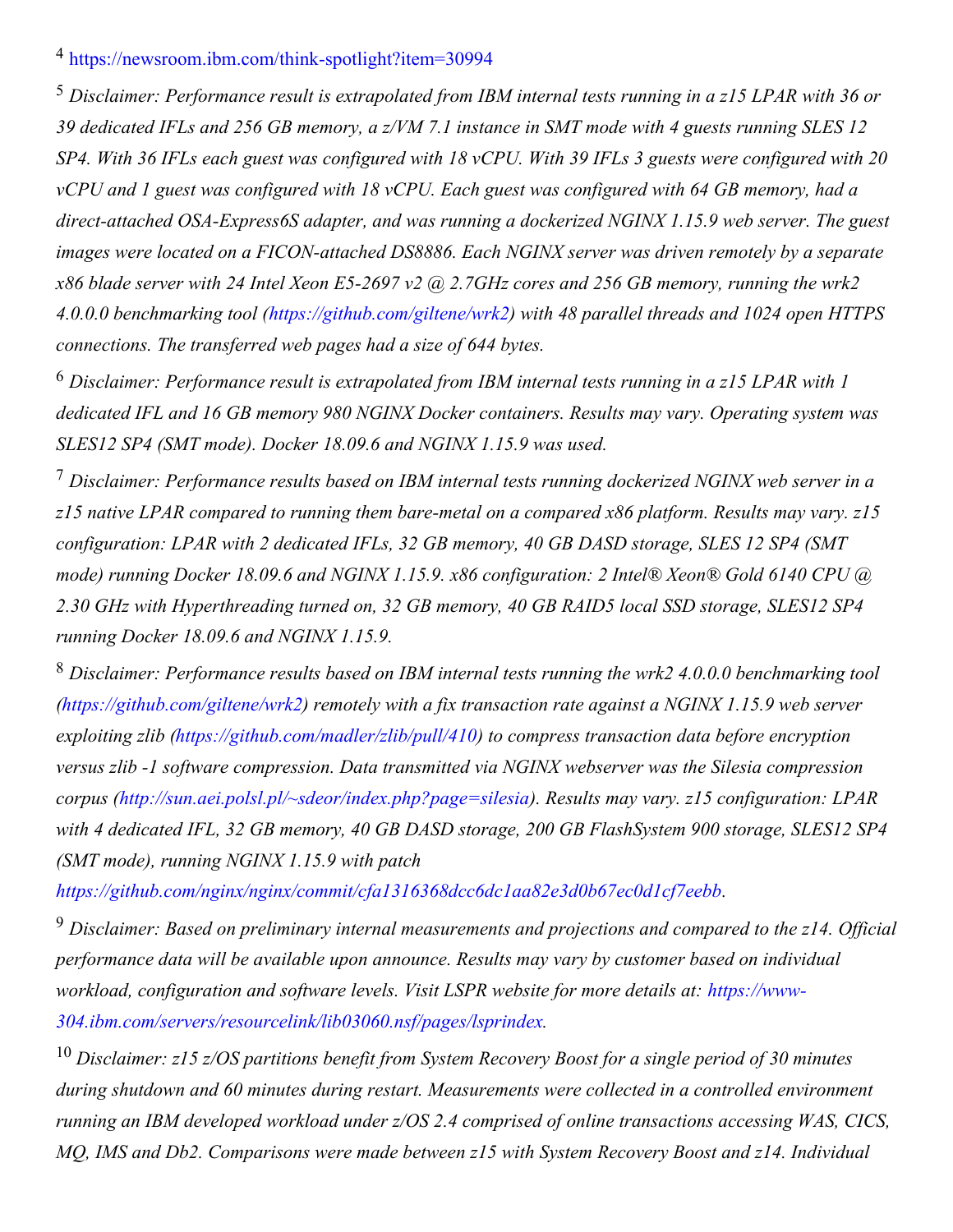## <sup>4</sup> [https://newsroom.ibm.com/think-spotlight?item=30994](https://c212.net/c/link/?t=0&l=en&o=2576230-1&h=1186620971&u=https%3A%2F%2Fnewsroom.ibm.com%2Fthink-spotlight%3Fitem%3D30994&a=https%3A%2F%2Fnewsroom.ibm.com%2Fthink-spotlight%3Fitem%3D30994)

<sup>5</sup> *Disclaimer: Performance result is extrapolated from IBM internal tests running in a z15 LPAR with 36 or* 39 dedicated IFLs and 256 GB memory, a z/VM 7.1 instance in SMT mode with 4 guests running SLES 12 SP4. With 36 IFLs each guest was configured with 18 vCPU. With 39 IFLs 3 guests were configured with 20 vCPU and 1 guest was configured with 18 vCPU. Each guest was configured with 64 GB memory, had a *direct-attached OSA-Express6S adapter, and was running a dockerized NGINX 1.15.9 web server. The guest images were located on a FICON-attached DS8886. Each NGINX server was driven remotely by a separate* x86 blade server with 24 Intel Xeon E5-2697 v2 @ 2.7GHz cores and 256 GB memory, running the wrk2 *4.0.0.0 benchmarking tool [\(https://github.com/giltene/wrk2](https://github.com/giltene/wrk2)) with 48 parallel threads and 1024 open HTTPS connections. The transferred web pages had a size of 644 bytes.*

<sup>6</sup> *Disclaimer: Performance result is extrapolated from IBM internal tests running in a z15 LPAR with 1 dedicated IFL and 16 GB memory 980 NGINX Docker containers. Results may vary. Operating system was SLES12 SP4 (SMT mode). Docker 18.09.6 and NGINX 1.15.9 was used.*

<sup>7</sup> *Disclaimer: Performance results based on IBM internal tests running dockerized NGINX web server in a z15 native LPAR compared to running them bare-metal on a compared x86 platform. Results may vary. z15 configuration: LPAR with 2 dedicated IFLs, 32 GB memory, 40 GB DASD storage, SLES 12 SP4 (SMT mode) running Docker 18.09.6 and NGINX 1.15.9. x86 configuration: 2 Intel® Xeon® Gold 6140 CPU @ 2.30 GHz with Hyperthreading turned on, 32 GB memory, 40 GB RAID5 local SSD storage, SLES12 SP4 running Docker 18.09.6 and NGINX 1.15.9.*

<sup>8</sup> *Disclaimer: Performance results based on IBM internal tests running the wrk2 4.0.0.0 benchmarking tool [\(https://github.com/giltene/wrk2](https://github.com/giltene/wrk2)) remotely with a fix transaction rate against a NGINX 1.15.9 web server exploiting zlib [\(https://github.com/madler/zlib/pull/410](https://github.com/madler/zlib/pull/410)) to compress transaction data before encryption versus zlib -1 software compression. Data transmitted via NGINX webserver was the Silesia compression corpus [\(http://sun.aei.polsl.pl/~sdeor/index.php?page=silesia](http://sun.aei.polsl.pl/~sdeor/index.php?page=silesia)). Results may vary. z15 configuration: LPAR with 4 dedicated IFL, 32 GB memory, 40 GB DASD storage, 200 GB FlashSystem 900 storage, SLES12 SP4 (SMT mode), running NGINX 1.15.9 with patch*

*[https://github.com/nginx/nginx/commit/cfa1316368dcc6dc1aa82e3d0b67ec0d1cf7eebb](https://c212.net/c/link/?t=0&l=en&o=2576230-1&h=3109299891&u=https%3A%2F%2Fgithub.com%2Fnginx%2Fnginx%2Fcommit%2Fcfa1316368dcc6dc1aa82e3d0b67ec0d1cf7eebb&a=https%3A%2F%2Fgithub.com%2Fnginx%2Fnginx%2Fcommit%2Fcfa1316368dcc6dc1aa82e3d0b67ec0d1cf7eebb).*

<sup>9</sup> *Disclaimer: Based on preliminary internal measurements and projections and compared to the z14. Of icial performance data will be available upon announce. Results may vary by customer based on individual workload, configuration and software levels. Visit LSPR website for more details at: https://www-[304.ibm.com/servers/resourcelink/lib03060.nsf/pages/lsprindex.](https://c212.net/c/link/?t=0&l=en&o=2576230-1&h=3640662637&u=https%3A%2F%2Fwww-304.ibm.com%2Fservers%2Fresourcelink%2Flib03060.nsf%2Fpages%2Flsprindex&a=https%3A%2F%2Fwww-304.ibm.com%2Fservers%2Fresourcelink%2Flib03060.nsf%2Fpages%2Flsprindex)*

<sup>10</sup> *Disclaimer: z15 z/OS partitions benefit from System Recovery Boost for a single period of 30 minutes during shutdown and 60 minutes during restart. Measurements were collected in a controlled environment running an IBM developed workload under z/OS 2.4 comprised of online transactions accessing WAS, CICS, MQ, IMS and Db2. Comparisons were made between z15 with System Recovery Boost and z14. Individual*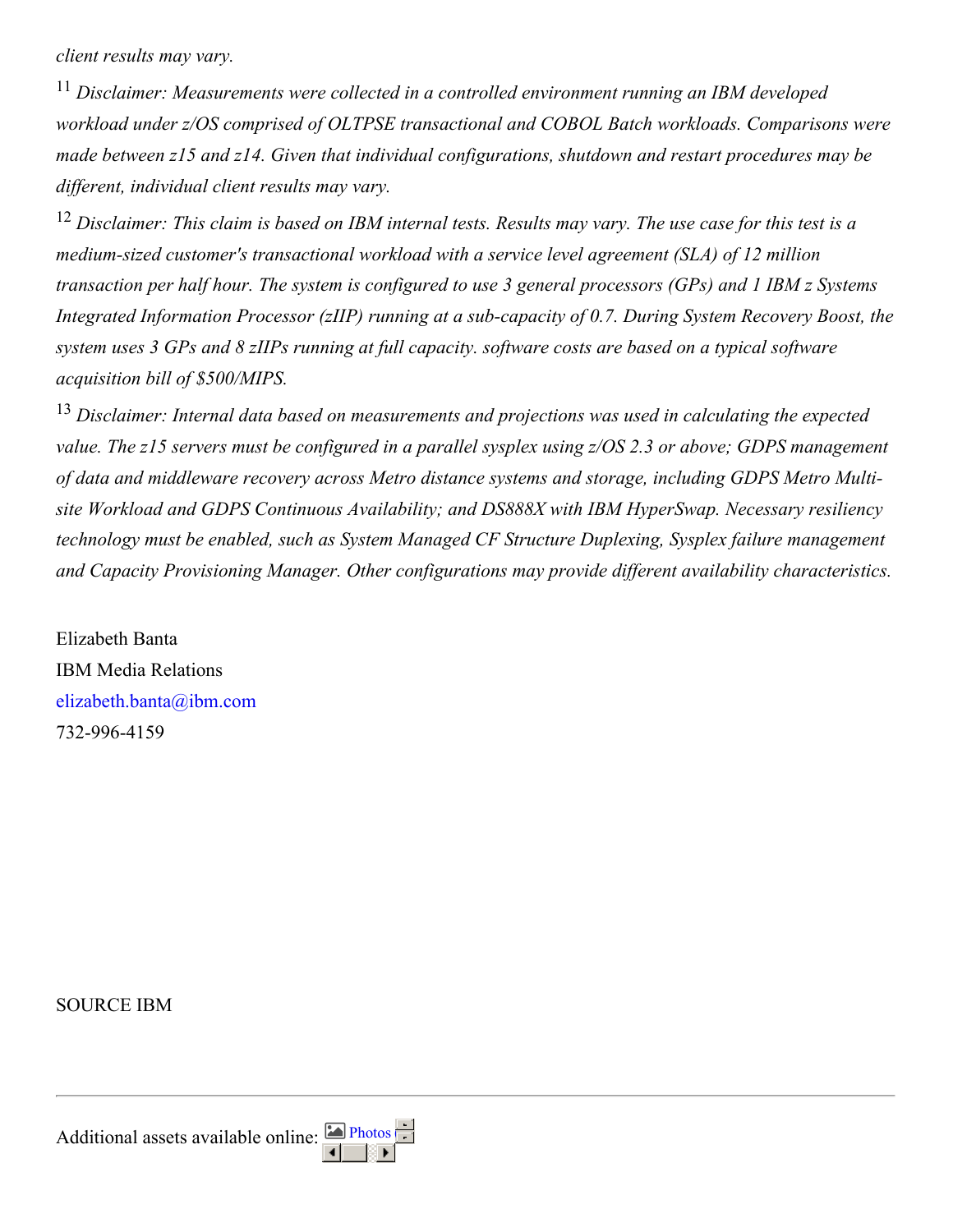*client results may vary.*

<sup>11</sup> *Disclaimer: Measurements were collected in a controlled environment running an IBM developed workload under z/OS comprised of OLTPSE transactional and COBOL Batch workloads. Comparisons were made between z15 and z14. Given that individual configurations, shutdown and restart procedures may be dif erent, individual client results may vary.*

 $12$  Disclaimer: This claim is based on IBM internal tests. Results may vary. The use case for this test is a *medium-sized customer's transactional workload with a service level agreement (SLA) of 12 million* transaction per half hour. The system is configured to use 3 general processors (GPs) and 1 IBM z Systems *Integrated Information Processor (zIIP) running at a sub-capacity of 0.7. During System Recovery Boost, the* system uses 3 GPs and 8 zIIPs running at full capacity. software costs are based on a typical software *acquisition bill of \$500/MIPS.*

<sup>13</sup> *Disclaimer: Internal data based on measurements and projections was used in calculating the expected* value. The z15 servers must be configured in a parallel sysplex using z/OS 2.3 or above; GDPS management *of data and middleware recovery across Metro distance systems and storage, including GDPS Metro Multisite Workload and GDPS Continuous Availability; and DS888X with IBM HyperSwap. Necessary resiliency technology must be enabled, such as System Managed CF Structure Duplexing, Sysplex failure management and Capacity Provisioning Manager. Other configurations may provide dif erent availability characteristics.*

Elizabeth Banta IBM Media Relations [elizabeth.banta@ibm.com](mailto:elizabeth.banta@ibm.com) 732-996-4159

SOURCE IBM